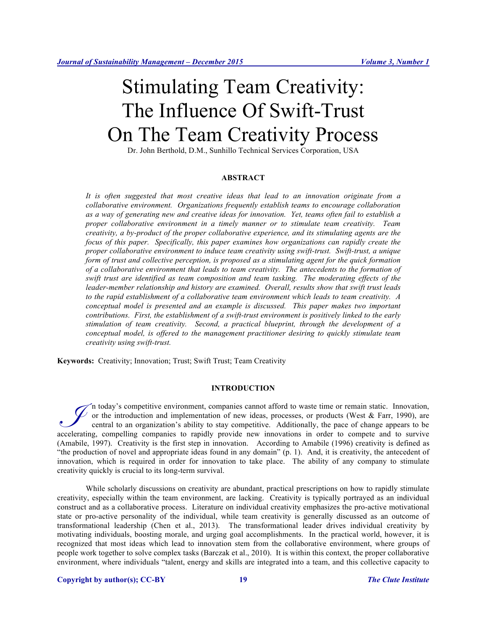# Stimulating Team Creativity: The Influence Of Swift-Trust On The Team Creativity Process

Dr. John Berthold, D.M., Sunhillo Technical Services Corporation, USA

# **ABSTRACT**

*It is often suggested that most creative ideas that lead to an innovation originate from a collaborative environment. Organizations frequently establish teams to encourage collaboration as a way of generating new and creative ideas for innovation. Yet, teams often fail to establish a proper collaborative environment in a timely manner or to stimulate team creativity. Team creativity, a by-product of the proper collaborative experience, and its stimulating agents are the focus of this paper. Specifically, this paper examines how organizations can rapidly create the proper collaborative environment to induce team creativity using swift-trust. Swift-trust, a unique form of trust and collective perception, is proposed as a stimulating agent for the quick formation of a collaborative environment that leads to team creativity. The antecedents to the formation of swift trust are identified as team composition and team tasking. The moderating effects of the leader-member relationship and history are examined. Overall, results show that swift trust leads to the rapid establishment of a collaborative team environment which leads to team creativity. A conceptual model is presented and an example is discussed. This paper makes two important contributions. First, the establishment of a swift-trust environment is positively linked to the early stimulation of team creativity. Second, a practical blueprint, through the development of a conceptual model, is offered to the management practitioner desiring to quickly stimulate team creativity using swift-trust.*

**Keywords:** Creativity; Innovation; Trust; Swift Trust; Team Creativity

#### **INTRODUCTION**

n today's competitive environment, companies cannot afford to waste time or remain static. Innovation, or the introduction and implementation of new ideas, processes, or products (West & Farr, 1990), are central to an organization's ability to stay competitive. Additionally, the pace of change appears to be The today's competitive environment, companies cannot afford to waste time or remain static. Innovation, or the introduction and implementation of new ideas, processes, or products (West & Farr, 1990), are central to an or (Amabile, 1997). Creativity is the first step in innovation. According to Amabile (1996) creativity is defined as "the production of novel and appropriate ideas found in any domain" (p. 1). And, it is creativity, the antecedent of innovation, which is required in order for innovation to take place. The ability of any company to stimulate creativity quickly is crucial to its long-term survival.

While scholarly discussions on creativity are abundant, practical prescriptions on how to rapidly stimulate creativity, especially within the team environment, are lacking. Creativity is typically portrayed as an individual construct and as a collaborative process. Literature on individual creativity emphasizes the pro-active motivational state or pro-active personality of the individual, while team creativity is generally discussed as an outcome of transformational leadership (Chen et al., 2013). The transformational leader drives individual creativity by motivating individuals, boosting morale, and urging goal accomplishments. In the practical world, however, it is recognized that most ideas which lead to innovation stem from the collaborative environment, where groups of people work together to solve complex tasks (Barczak et al., 2010). It is within this context, the proper collaborative environment, where individuals "talent, energy and skills are integrated into a team, and this collective capacity to

**Copyright by author(s); CC-BY 19** *The Clute Institute*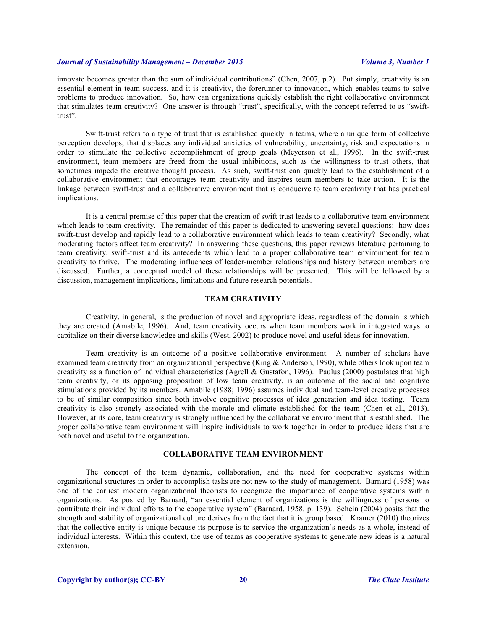innovate becomes greater than the sum of individual contributions" (Chen, 2007, p.2). Put simply, creativity is an essential element in team success, and it is creativity, the forerunner to innovation, which enables teams to solve problems to produce innovation. So, how can organizations quickly establish the right collaborative environment that stimulates team creativity? One answer is through "trust", specifically, with the concept referred to as "swifttrust".

Swift-trust refers to a type of trust that is established quickly in teams, where a unique form of collective perception develops, that displaces any individual anxieties of vulnerability, uncertainty, risk and expectations in order to stimulate the collective accomplishment of group goals (Meyerson et al., 1996). In the swift-trust environment, team members are freed from the usual inhibitions, such as the willingness to trust others, that sometimes impede the creative thought process. As such, swift-trust can quickly lead to the establishment of a collaborative environment that encourages team creativity and inspires team members to take action. It is the linkage between swift-trust and a collaborative environment that is conducive to team creativity that has practical implications.

It is a central premise of this paper that the creation of swift trust leads to a collaborative team environment which leads to team creativity. The remainder of this paper is dedicated to answering several questions: how does swift-trust develop and rapidly lead to a collaborative environment which leads to team creativity? Secondly, what moderating factors affect team creativity? In answering these questions, this paper reviews literature pertaining to team creativity, swift-trust and its antecedents which lead to a proper collaborative team environment for team creativity to thrive. The moderating influences of leader-member relationships and history between members are discussed. Further, a conceptual model of these relationships will be presented. This will be followed by a discussion, management implications, limitations and future research potentials.

# **TEAM CREATIVITY**

Creativity, in general, is the production of novel and appropriate ideas, regardless of the domain is which they are created (Amabile, 1996). And, team creativity occurs when team members work in integrated ways to capitalize on their diverse knowledge and skills (West, 2002) to produce novel and useful ideas for innovation.

Team creativity is an outcome of a positive collaborative environment. A number of scholars have examined team creativity from an organizational perspective (King & Anderson, 1990), while others look upon team creativity as a function of individual characteristics (Agrell & Gustafon, 1996). Paulus (2000) postulates that high team creativity, or its opposing proposition of low team creativity, is an outcome of the social and cognitive stimulations provided by its members. Amabile (1988; 1996) assumes individual and team-level creative processes to be of similar composition since both involve cognitive processes of idea generation and idea testing. Team creativity is also strongly associated with the morale and climate established for the team (Chen et al., 2013). However, at its core, team creativity is strongly influenced by the collaborative environment that is established. The proper collaborative team environment will inspire individuals to work together in order to produce ideas that are both novel and useful to the organization.

#### **COLLABORATIVE TEAM ENVIRONMENT**

The concept of the team dynamic, collaboration, and the need for cooperative systems within organizational structures in order to accomplish tasks are not new to the study of management. Barnard (1958) was one of the earliest modern organizational theorists to recognize the importance of cooperative systems within organizations. As posited by Barnard, "an essential element of organizations is the willingness of persons to contribute their individual efforts to the cooperative system" (Barnard, 1958, p. 139). Schein (2004) posits that the strength and stability of organizational culture derives from the fact that it is group based. Kramer (2010) theorizes that the collective entity is unique because its purpose is to service the organization's needs as a whole, instead of individual interests. Within this context, the use of teams as cooperative systems to generate new ideas is a natural extension.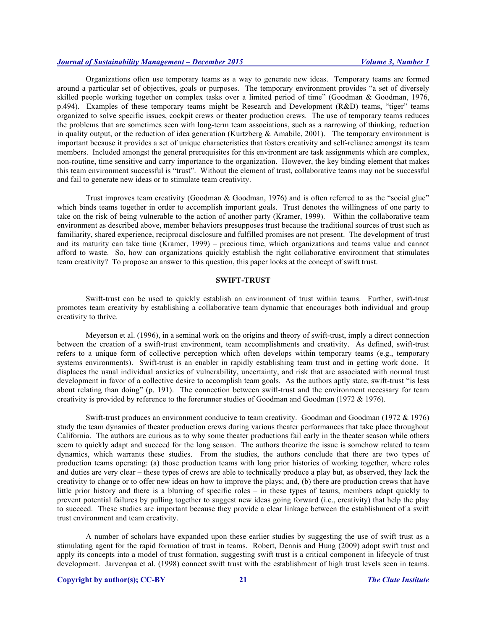Organizations often use temporary teams as a way to generate new ideas. Temporary teams are formed around a particular set of objectives, goals or purposes. The temporary environment provides "a set of diversely skilled people working together on complex tasks over a limited period of time" (Goodman & Goodman, 1976, p.494). Examples of these temporary teams might be Research and Development (R&D) teams, "tiger" teams organized to solve specific issues, cockpit crews or theater production crews. The use of temporary teams reduces the problems that are sometimes seen with long-term team associations, such as a narrowing of thinking, reduction in quality output, or the reduction of idea generation (Kurtzberg  $\&$  Amabile, 2001). The temporary environment is important because it provides a set of unique characteristics that fosters creativity and self-reliance amongst its team members. Included amongst the general prerequisites for this environment are task assignments which are complex, non-routine, time sensitive and carry importance to the organization. However, the key binding element that makes this team environment successful is "trust". Without the element of trust, collaborative teams may not be successful and fail to generate new ideas or to stimulate team creativity.

Trust improves team creativity (Goodman & Goodman, 1976) and is often referred to as the "social glue" which binds teams together in order to accomplish important goals. Trust denotes the willingness of one party to take on the risk of being vulnerable to the action of another party (Kramer, 1999). Within the collaborative team environment as described above, member behaviors presupposes trust because the traditional sources of trust such as familiarity, shared experience, reciprocal disclosure and fulfilled promises are not present. The development of trust and its maturity can take time (Kramer, 1999) – precious time, which organizations and teams value and cannot afford to waste. So, how can organizations quickly establish the right collaborative environment that stimulates team creativity? To propose an answer to this question, this paper looks at the concept of swift trust.

# **SWIFT-TRUST**

Swift-trust can be used to quickly establish an environment of trust within teams. Further, swift-trust promotes team creativity by establishing a collaborative team dynamic that encourages both individual and group creativity to thrive.

Meyerson et al. (1996), in a seminal work on the origins and theory of swift-trust, imply a direct connection between the creation of a swift-trust environment, team accomplishments and creativity. As defined, swift-trust refers to a unique form of collective perception which often develops within temporary teams (e.g., temporary systems environments). Swift-trust is an enabler in rapidly establishing team trust and in getting work done. It displaces the usual individual anxieties of vulnerability, uncertainty, and risk that are associated with normal trust development in favor of a collective desire to accomplish team goals. As the authors aptly state, swift-trust "is less about relating than doing" (p. 191). The connection between swift-trust and the environment necessary for team creativity is provided by reference to the forerunner studies of Goodman and Goodman (1972 & 1976).

Swift-trust produces an environment conducive to team creativity. Goodman and Goodman (1972 & 1976) study the team dynamics of theater production crews during various theater performances that take place throughout California. The authors are curious as to why some theater productions fail early in the theater season while others seem to quickly adapt and succeed for the long season. The authors theorize the issue is somehow related to team dynamics, which warrants these studies. From the studies, the authors conclude that there are two types of production teams operating: (a) those production teams with long prior histories of working together, where roles and duties are very clear – these types of crews are able to technically produce a play but, as observed, they lack the creativity to change or to offer new ideas on how to improve the plays; and, (b) there are production crews that have little prior history and there is a blurring of specific roles – in these types of teams, members adapt quickly to prevent potential failures by pulling together to suggest new ideas going forward (i.e., creativity) that help the play to succeed. These studies are important because they provide a clear linkage between the establishment of a swift trust environment and team creativity.

A number of scholars have expanded upon these earlier studies by suggesting the use of swift trust as a stimulating agent for the rapid formation of trust in teams. Robert, Dennis and Hung (2009) adopt swift trust and apply its concepts into a model of trust formation, suggesting swift trust is a critical component in lifecycle of trust development. Jarvenpaa et al. (1998) connect swift trust with the establishment of high trust levels seen in teams.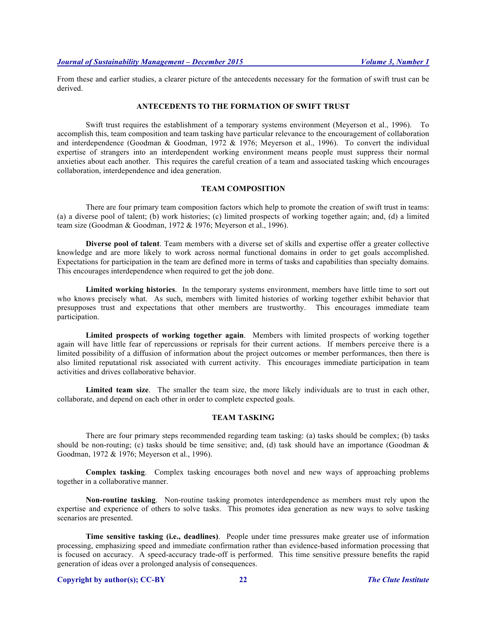From these and earlier studies, a clearer picture of the antecedents necessary for the formation of swift trust can be derived.

## **ANTECEDENTS TO THE FORMATION OF SWIFT TRUST**

Swift trust requires the establishment of a temporary systems environment (Meyerson et al., 1996). To accomplish this, team composition and team tasking have particular relevance to the encouragement of collaboration and interdependence (Goodman & Goodman, 1972 & 1976; Meyerson et al., 1996). To convert the individual expertise of strangers into an interdependent working environment means people must suppress their normal anxieties about each another. This requires the careful creation of a team and associated tasking which encourages collaboration, interdependence and idea generation.

# **TEAM COMPOSITION**

There are four primary team composition factors which help to promote the creation of swift trust in teams: (a) a diverse pool of talent; (b) work histories; (c) limited prospects of working together again; and, (d) a limited team size (Goodman & Goodman, 1972 & 1976; Meyerson et al., 1996).

**Diverse pool of talent**. Team members with a diverse set of skills and expertise offer a greater collective knowledge and are more likely to work across normal functional domains in order to get goals accomplished. Expectations for participation in the team are defined more in terms of tasks and capabilities than specialty domains. This encourages interdependence when required to get the job done.

**Limited working histories**. In the temporary systems environment, members have little time to sort out who knows precisely what. As such, members with limited histories of working together exhibit behavior that presupposes trust and expectations that other members are trustworthy. This encourages immediate team participation.

**Limited prospects of working together again**. Members with limited prospects of working together again will have little fear of repercussions or reprisals for their current actions. If members perceive there is a limited possibility of a diffusion of information about the project outcomes or member performances, then there is also limited reputational risk associated with current activity. This encourages immediate participation in team activities and drives collaborative behavior.

**Limited team size**. The smaller the team size, the more likely individuals are to trust in each other, collaborate, and depend on each other in order to complete expected goals.

## **TEAM TASKING**

There are four primary steps recommended regarding team tasking: (a) tasks should be complex; (b) tasks should be non-routing; (c) tasks should be time sensitive; and, (d) task should have an importance (Goodman  $\&$ Goodman, 1972 & 1976; Meyerson et al., 1996).

**Complex tasking**. Complex tasking encourages both novel and new ways of approaching problems together in a collaborative manner.

**Non-routine tasking**. Non-routine tasking promotes interdependence as members must rely upon the expertise and experience of others to solve tasks. This promotes idea generation as new ways to solve tasking scenarios are presented.

**Time sensitive tasking (i.e., deadlines)**. People under time pressures make greater use of information processing, emphasizing speed and immediate confirmation rather than evidence-based information processing that is focused on accuracy. A speed-accuracy trade-off is performed. This time sensitive pressure benefits the rapid generation of ideas over a prolonged analysis of consequences.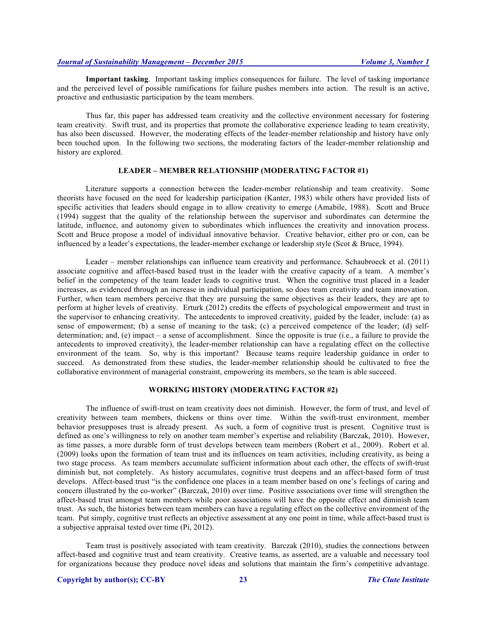**Important tasking**. Important tasking implies consequences for failure. The level of tasking importance and the perceived level of possible ramifications for failure pushes members into action. The result is an active, proactive and enthusiastic participation by the team members.

Thus far, this paper has addressed team creativity and the collective environment necessary for fostering team creativity. Swift trust, and its properties that promote the collaborative experience leading to team creativity, has also been discussed. However, the moderating effects of the leader-member relationship and history have only been touched upon. In the following two sections, the moderating factors of the leader-member relationship and history are explored.

# **LEADER – MEMBER RELATIONSHIP (MODERATING FACTOR #1)**

Literature supports a connection between the leader-member relationship and team creativity. Some theorists have focused on the need for leadership participation (Kanter, 1983) while others have provided lists of specific activities that leaders should engage in to allow creativity to emerge (Amabile, 1988). Scott and Bruce (1994) suggest that the quality of the relationship between the supervisor and subordinates can determine the latitude, influence, and autonomy given to subordinates which influences the creativity and innovation process. Scott and Bruce propose a model of individual innovative behavior. Creative behavior, either pro or con, can be influenced by a leader's expectations, the leader-member exchange or leadership style (Scot & Bruce, 1994).

Leader – member relationships can influence team creativity and performance. Schaubroeck et al. (2011) associate cognitive and affect-based based trust in the leader with the creative capacity of a team. A member's belief in the competency of the team leader leads to cognitive trust. When the cognitive trust placed in a leader increases, as evidenced through an increase in individual participation, so does team creativity and team innovation. Further, when team members perceive that they are pursuing the same objectives as their leaders, they are apt to perform at higher levels of creativity. Erturk (2012) credits the effects of psychological empowerment and trust in the supervisor to enhancing creativity. The antecedents to improved creativity, guided by the leader, include: (a) as sense of empowerment; (b) a sense of meaning to the task; (c) a perceived competence of the leader; (d) selfdetermination; and, (e) impact – a sense of accomplishment. Since the opposite is true (i.e., a failure to provide the antecedents to improved creativity), the leader-member relationship can have a regulating effect on the collective environment of the team. So, why is this important? Because teams require leadership guidance in order to succeed. As demonstrated from these studies, the leader-member relationship should be cultivated to free the collaborative environment of managerial constraint, empowering its members, so the team is able succeed.

# **WORKING HISTORY (MODERATING FACTOR #2)**

The influence of swift-trust on team creativity does not diminish. However, the form of trust, and level of creativity between team members, thickens or thins over time. Within the swift-trust environment, member behavior presupposes trust is already present. As such, a form of cognitive trust is present. Cognitive trust is defined as one's willingness to rely on another team member's expertise and reliability (Barczak, 2010). However, as time passes, a more durable form of trust develops between team members (Robert et al., 2009). Robert et al. (2009) looks upon the formation of team trust and its influences on team activities, including creativity, as being a two stage process. As team members accumulate sufficient information about each other, the effects of swift-trust diminish but, not completely. As history accumulates, cognitive trust deepens and an affect-based form of trust develops. Affect-based trust "is the confidence one places in a team member based on one's feelings of caring and concern illustrated by the co-worker" (Barczak, 2010) over time. Positive associations over time will strengthen the affect-based trust amongst team members while poor associations will have the opposite effect and diminish team trust. As such, the histories between team members can have a regulating effect on the collective environment of the team. Put simply, cognitive trust reflects an objective assessment at any one point in time, while affect-based trust is a subjective appraisal tested over time (Pi, 2012).

Team trust is positively associated with team creativity. Barczak (2010), studies the connections between affect-based and cognitive trust and team creativity. Creative teams, as asserted, are a valuable and necessary tool for organizations because they produce novel ideas and solutions that maintain the firm's competitive advantage.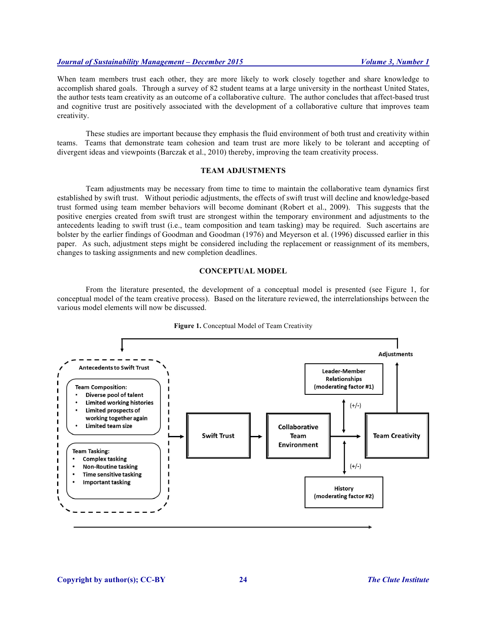When team members trust each other, they are more likely to work closely together and share knowledge to accomplish shared goals. Through a survey of 82 student teams at a large university in the northeast United States, the author tests team creativity as an outcome of a collaborative culture. The author concludes that affect-based trust and cognitive trust are positively associated with the development of a collaborative culture that improves team creativity.

These studies are important because they emphasis the fluid environment of both trust and creativity within teams. Teams that demonstrate team cohesion and team trust are more likely to be tolerant and accepting of divergent ideas and viewpoints (Barczak et al., 2010) thereby, improving the team creativity process.

# **TEAM ADJUSTMENTS**

Team adjustments may be necessary from time to time to maintain the collaborative team dynamics first established by swift trust. Without periodic adjustments, the effects of swift trust will decline and knowledge-based trust formed using team member behaviors will become dominant (Robert et al., 2009). This suggests that the positive energies created from swift trust are strongest within the temporary environment and adjustments to the antecedents leading to swift trust (i.e., team composition and team tasking) may be required. Such ascertains are bolster by the earlier findings of Goodman and Goodman (1976) and Meyerson et al. (1996) discussed earlier in this paper. As such, adjustment steps might be considered including the replacement or reassignment of its members, changes to tasking assignments and new completion deadlines.

## **CONCEPTUAL MODEL**

From the literature presented, the development of a conceptual model is presented (see Figure 1, for conceptual model of the team creative process). Based on the literature reviewed, the interrelationships between the various model elements will now be discussed.



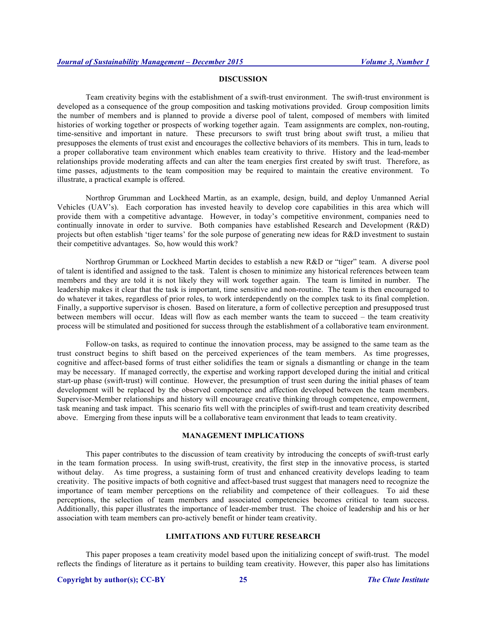# **DISCUSSION**

Team creativity begins with the establishment of a swift-trust environment. The swift-trust environment is developed as a consequence of the group composition and tasking motivations provided. Group composition limits the number of members and is planned to provide a diverse pool of talent, composed of members with limited histories of working together or prospects of working together again. Team assignments are complex, non-routing, time-sensitive and important in nature. These precursors to swift trust bring about swift trust, a milieu that presupposes the elements of trust exist and encourages the collective behaviors of its members. This in turn, leads to a proper collaborative team environment which enables team creativity to thrive. History and the lead-member relationships provide moderating affects and can alter the team energies first created by swift trust. Therefore, as time passes, adjustments to the team composition may be required to maintain the creative environment. To illustrate, a practical example is offered.

Northrop Grumman and Lockheed Martin, as an example, design, build, and deploy Unmanned Aerial Vehicles (UAV's). Each corporation has invested heavily to develop core capabilities in this area which will provide them with a competitive advantage. However, in today's competitive environment, companies need to continually innovate in order to survive. Both companies have established Research and Development (R&D) projects but often establish 'tiger teams' for the sole purpose of generating new ideas for R&D investment to sustain their competitive advantages. So, how would this work?

Northrop Grumman or Lockheed Martin decides to establish a new R&D or "tiger" team. A diverse pool of talent is identified and assigned to the task. Talent is chosen to minimize any historical references between team members and they are told it is not likely they will work together again. The team is limited in number. The leadership makes it clear that the task is important, time sensitive and non-routine. The team is then encouraged to do whatever it takes, regardless of prior roles, to work interdependently on the complex task to its final completion. Finally, a supportive supervisor is chosen. Based on literature, a form of collective perception and presupposed trust between members will occur. Ideas will flow as each member wants the team to succeed – the team creativity process will be stimulated and positioned for success through the establishment of a collaborative team environment.

Follow-on tasks, as required to continue the innovation process, may be assigned to the same team as the trust construct begins to shift based on the perceived experiences of the team members. As time progresses, cognitive and affect-based forms of trust either solidifies the team or signals a dismantling or change in the team may be necessary. If managed correctly, the expertise and working rapport developed during the initial and critical start-up phase (swift-trust) will continue. However, the presumption of trust seen during the initial phases of team development will be replaced by the observed competence and affection developed between the team members. Supervisor-Member relationships and history will encourage creative thinking through competence, empowerment, task meaning and task impact. This scenario fits well with the principles of swift-trust and team creativity described above. Emerging from these inputs will be a collaborative team environment that leads to team creativity.

# **MANAGEMENT IMPLICATIONS**

This paper contributes to the discussion of team creativity by introducing the concepts of swift-trust early in the team formation process. In using swift-trust, creativity, the first step in the innovative process, is started without delay. As time progress, a sustaining form of trust and enhanced creativity develops leading to team creativity. The positive impacts of both cognitive and affect-based trust suggest that managers need to recognize the importance of team member perceptions on the reliability and competence of their colleagues. To aid these perceptions, the selection of team members and associated competencies becomes critical to team success. Additionally, this paper illustrates the importance of leader-member trust. The choice of leadership and his or her association with team members can pro-actively benefit or hinder team creativity.

# **LIMITATIONS AND FUTURE RESEARCH**

This paper proposes a team creativity model based upon the initializing concept of swift-trust. The model reflects the findings of literature as it pertains to building team creativity. However, this paper also has limitations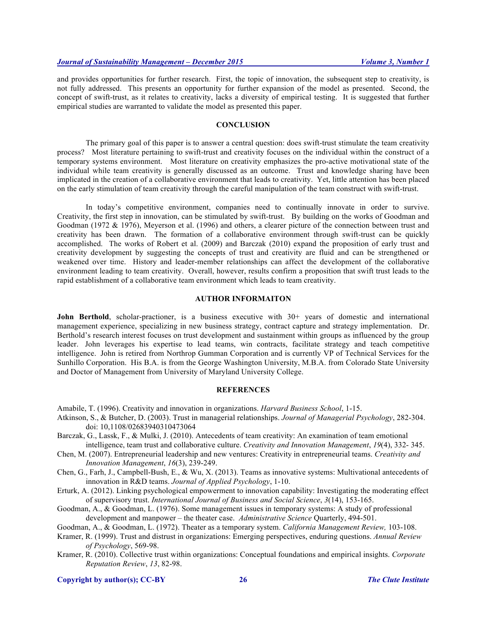and provides opportunities for further research. First, the topic of innovation, the subsequent step to creativity, is not fully addressed. This presents an opportunity for further expansion of the model as presented. Second, the concept of swift-trust, as it relates to creativity, lacks a diversity of empirical testing. It is suggested that further empirical studies are warranted to validate the model as presented this paper.

# **CONCLUSION**

The primary goal of this paper is to answer a central question: does swift-trust stimulate the team creativity process? Most literature pertaining to swift-trust and creativity focuses on the individual within the construct of a temporary systems environment. Most literature on creativity emphasizes the pro-active motivational state of the individual while team creativity is generally discussed as an outcome. Trust and knowledge sharing have been implicated in the creation of a collaborative environment that leads to creativity. Yet, little attention has been placed on the early stimulation of team creativity through the careful manipulation of the team construct with swift-trust.

In today's competitive environment, companies need to continually innovate in order to survive. Creativity, the first step in innovation, can be stimulated by swift-trust. By building on the works of Goodman and Goodman (1972 & 1976), Meyerson et al. (1996) and others, a clearer picture of the connection between trust and creativity has been drawn. The formation of a collaborative environment through swift-trust can be quickly accomplished. The works of Robert et al. (2009) and Barczak (2010) expand the proposition of early trust and creativity development by suggesting the concepts of trust and creativity are fluid and can be strengthened or weakened over time. History and leader-member relationships can affect the development of the collaborative environment leading to team creativity. Overall, however, results confirm a proposition that swift trust leads to the rapid establishment of a collaborative team environment which leads to team creativity.

## **AUTHOR INFORMAITON**

**John Berthold**, scholar-practioner, is a business executive with 30+ years of domestic and international management experience, specializing in new business strategy, contract capture and strategy implementation. Dr. Berthold's research interest focuses on trust development and sustainment within groups as influenced by the group leader. John leverages his expertise to lead teams, win contracts, facilitate strategy and teach competitive intelligence. John is retired from Northrop Gumman Corporation and is currently VP of Technical Services for the Sunhillo Corporation. His B.A. is from the George Washington University, M.B.A. from Colorado State University and Doctor of Management from University of Maryland University College.

# **REFERENCES**

- Amabile, T. (1996). Creativity and innovation in organizations. *Harvard Business School*, 1-15.
- Atkinson, S., & Butcher, D. (2003). Trust in managerial relationships. *Journal of Managerial Psychology*, 282-304. doi: 10,1108/02683940310473064
- Barczak, G., Lassk, F., & Mulki, J. (2010). Antecedents of team creativity: An examination of team emotional intelligence, team trust and collaborative culture. *Creativity and Innovation Management*, *19*(4), 332- 345.
- Chen, M. (2007). Entrepreneurial leadership and new ventures: Creativity in entrepreneurial teams. *Creativity and Innovation Management*, *16*(3), 239-249.

Chen, G., Farh, J., Campbell-Bush, E., & Wu, X. (2013). Teams as innovative systems: Multivational antecedents of innovation in R&D teams. *Journal of Applied Psychology*, 1-10.

Erturk, A. (2012). Linking psychological empowerment to innovation capability: Investigating the moderating effect of supervisory trust. *International Journal of Business and Social Science*, *3*(14), 153-165.

Goodman, A., & Goodman, L. (1976). Some management issues in temporary systems: A study of professional development and manpower – the theater case. *Administrative Science* Quarterly, 494-501.

Goodman, A., & Goodman, L. (1972). Theater as a temporary system. *California Management Review,* 103-108.

Kramer, R. (1999). Trust and distrust in organizations: Emerging perspectives, enduring questions. *Annual Review of Psychology*, 569-98.

Kramer, R. (2010). Collective trust within organizations: Conceptual foundations and empirical insights. *Corporate Reputation Review*, *13*, 82-98.

#### **Copyright by author(s); CC-BY 26** *The Clute Institute*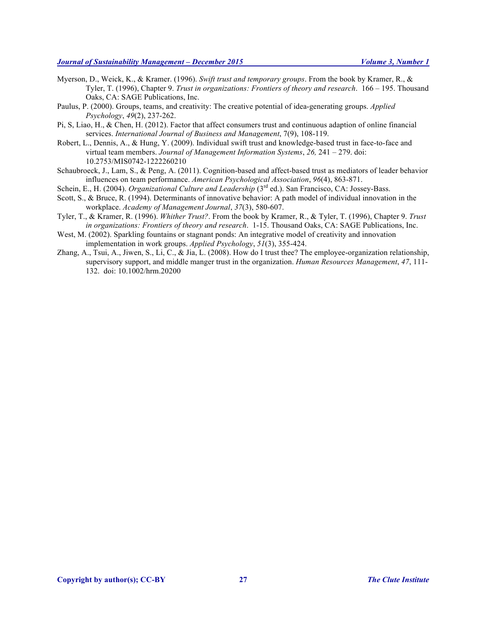- Myerson, D., Weick, K., & Kramer. (1996). *Swift trust and temporary groups*. From the book by Kramer, R., & Tyler, T. (1996), Chapter 9. *Trust in organizations: Frontiers of theory and research*. 166 – 195. Thousand Oaks, CA: SAGE Publications, Inc.
- Paulus, P. (2000). Groups, teams, and creativity: The creative potential of idea-generating groups. *Applied Psychology*, *49*(2), 237-262.
- Pi, S, Liao, H., & Chen, H. (2012). Factor that affect consumers trust and continuous adaption of online financial services. *International Journal of Business and Management*, 7(9), 108-119.
- Robert, L., Dennis, A., & Hung, Y. (2009). Individual swift trust and knowledge-based trust in face-to-face and virtual team members. *Journal of Management Information Systems*, *26,* 241 – 279. doi: 10.2753/MIS0742-1222260210
- Schaubroeck, J., Lam, S., & Peng, A. (2011). Cognition-based and affect-based trust as mediators of leader behavior influences on team performance. *American Psychological Association*, *96*(4), 863-871.
- Schein, E., H. (2004). *Organizational Culture and Leadership* (3<sup>rd</sup> ed.). San Francisco, CA: Jossey-Bass.
- Scott, S., & Bruce, R. (1994). Determinants of innovative behavior: A path model of individual innovation in the workplace. *Academy of Management Journal*, *37*(3), 580-607.
- Tyler, T., & Kramer, R. (1996). *Whither Trust?*. From the book by Kramer, R., & Tyler, T. (1996), Chapter 9. *Trust in organizations: Frontiers of theory and research*. 1-15. Thousand Oaks, CA: SAGE Publications, Inc.
- West, M. (2002). Sparkling fountains or stagnant ponds: An integrative model of creativity and innovation implementation in work groups. *Applied Psychology*, *51*(3), 355-424.
- Zhang, A., Tsui, A., Jiwen, S., Li, C., & Jia, L. (2008). How do I trust thee? The employee-organization relationship, supervisory support, and middle manger trust in the organization. *Human Resources Management*, *47*, 111- 132. doi: 10.1002/hrm.20200